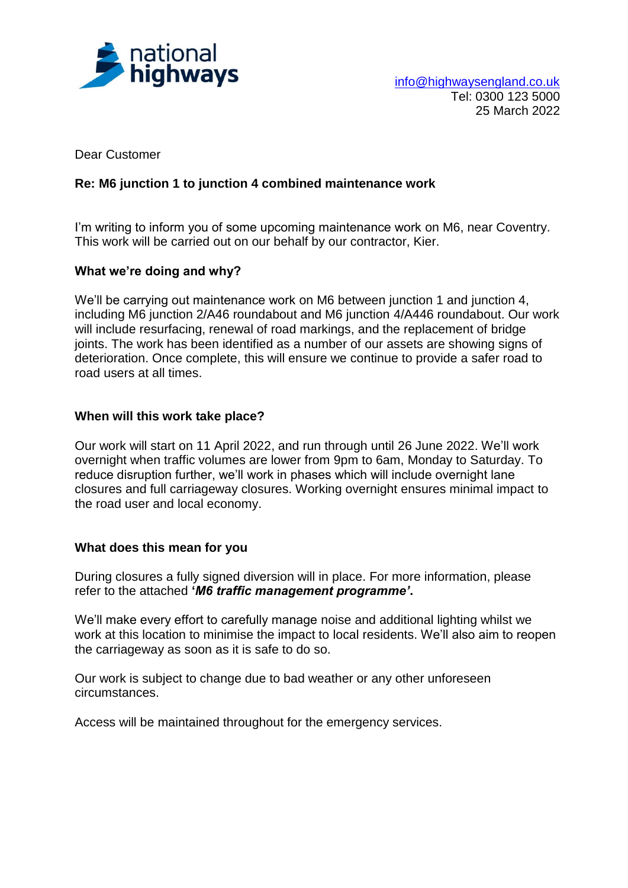

Dear Customer

# **Re: M6 junction 1 to junction 4 combined maintenance work**

I'm writing to inform you of some upcoming maintenance work on M6, near Coventry. This work will be carried out on our behalf by our contractor, Kier.

### **What we're doing and why?**

We'll be carrying out maintenance work on M6 between junction 1 and junction 4, including M6 junction 2/A46 roundabout and M6 junction 4/A446 roundabout. Our work will include resurfacing, renewal of road markings, and the replacement of bridge joints. The work has been identified as a number of our assets are showing signs of deterioration. Once complete, this will ensure we continue to provide a safer road to road users at all times.

### **When will this work take place?**

Our work will start on 11 April 2022, and run through until 26 June 2022. We'll work overnight when traffic volumes are lower from 9pm to 6am, Monday to Saturday. To reduce disruption further, we'll work in phases which will include overnight lane closures and full carriageway closures. Working overnight ensures minimal impact to the road user and local economy.

#### **What does this mean for you**

During closures a fully signed diversion will in place. For more information, please refer to the attached **'***M6 traffic management programme'***.**

We'll make every effort to carefully manage noise and additional lighting whilst we work at this location to minimise the impact to local residents. We'll also aim to reopen the carriageway as soon as it is safe to do so.

Our work is subject to change due to bad weather or any other unforeseen circumstances.

Access will be maintained throughout for the emergency services.